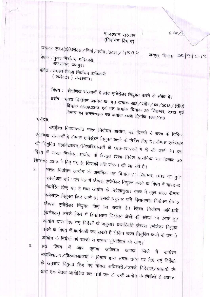## राजस्थान सरकार (निर्वाचन विभाग)

ई-मेल / ड.

जयपुर, दिनांक २६/१/2013

कमांकः एफ.4(3)(3)रोल्स / निर्वा / रवीप / 2013 /  $\epsilon$ । 8 9  $\epsilon$ ।

प्रेषक : मुख्य निर्वाचन अधिकारी, राजस्थान, जयपुर।

प्रेषित : समस्त जिला निर्वाचन अधिकारी

( कलेक्टर) राजस्थान।

विषय : शैक्षणिक संस्थानों में ब्रांड एम्बेसेडर नियुक्त करने के संबंध में।

प्रसंग : भारत निर्वाचन आयोग का पत्र कमांक 492/स्वीप/60/2013/(सीए) दिनांक 05.09.2013 एवं पत्र कमांक दिनांक 20 सितम्बर, 2013 एवं विभाग का समसंख्यक पत्र कमांक 4466 दिनांक 10.9.2013 महोदय,

उपर्युक्त विषयान्तर्गत भारत निर्वाचन आयोग, नई दिल्ली ने राज्य के विभिन्न शैक्षणिक संस्थानों में कैम्पस एम्बेसेडर नियुक्त करने के निर्देश दिए है। कैम्पस एम्बेसेडर की नियुक्ति महाविद्यालय/विश्वविद्यालयों के छात्र-छात्राओं में से की जानी है। इस विषय में भारत निर्वाचन आयोग के विस्तृत दिशा-निर्देश प्रासंगिक पत्र दिनांक 20 सितम्बर, 2013 में दिए गए है, जिसकी प्रति संलग्न की जा रही है।

भारत निर्वाचन आयोग के प्रासंगिक पत्र दिनांक 20 सितम्बर, 2013 का पुनः अवलोकन करें। इस पत्र में कैम्पस एम्बेसेडर नियुक्त करने के विषय में मापदण्ड निर्धारित किए गए है तथा आयोग के निर्देशानुसार राज्य में कुल 1000 कैम्पस एम्बेसेडर नियुक्त किए जाने है। इसके अनुसार प्रति विधानसभा निर्वाचन क्षेत्र 5 कैम्पस एम्बेसेडर नियुक्त किए जा सकते है। जिला निर्वाचन अधिकारी (कलेक्टर) उनके जिले में विधानसभा निर्वाचन क्षेत्रों की संख्या को देखते हुए आयोग द्वारा दिए गए निर्देशों के अनुसार यथारिथति कैम्पस एम्बेसेडर नियुक्त करने के विषय में कार्यवाही कर सकते है लेकिन उक्त नियुक्ति करने के कम में आयोग के निर्देशों की सख्ती से पालना सुनिश्चित की जाए।

इस विषय में आप कृपया अविलम्ब आपके जिले में कार्यरत महाविद्यालय / विश्वविद्यालयों में विभाग द्वारा समय-समय पर दिए गए निर्देशों के अनुसार नियुक्त किए गए नोडल अधिकारी/उनके निदेशक/प्राचार्यो के साथ एक बैठक आयोजित कर चर्चा कर लें उन्हें आयोग के निर्देशों से अवगत

3.

 $\overline{2}$ 

 $\sim$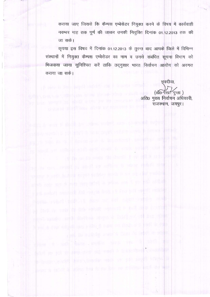कराया जाए जिससे कि कैम्पस एम्बेसेडर नियुक्त करने के विषय में कार्यवाही नवम्बर माह तक पूर्ण की जाकर उनकी नियुक्ति दिनांक 01.12.2013 तक की जा सके।

कृपया इस विषय में दिनांक 01.12.2013 के तुरन्त बाद आपके जिले में विभिन्न संस्थानों में नियुक्त कैम्पस एम्बेसेडर का नाम व उनसे संबंधित सूचना विभाग को भिजवाया जाना सुनिश्चित करें ताकि तद्नुसार भारत निर्वाचन आयोग को अवगत कराया जा सके।

property of the benefit with the history

has always an abid notes by the removales an

physical Martillana after excelencement in the

長橋 白治 作成 4 段の表 as inthis part 1 mm abheno b post

新闻学校 水分学自动 分析 事項生命 南 松 如果物 マチエキ 5:200 年半期の参照時間

the in page. For the infigures are to the content to product a significant

plas cross created by other and anti-ing & twist with the

事件的工作 10岁,新用对象:60010 facilities (Selector of an out 1年最后的特性

斯特 cert sit funt por diffi a port me i yv pit oft d

i adi soluri nemi adi bid vid ia anti, i 5 fezi și 11 - și af veriale

4998-1990年生 1990年11月 1899 TOT 978 AREL 23 NO. 2019

blue sports and details single in last and out has ready

计内部分 化异丙基酮 计字母 计字母 计字母 计字母 医中央 计字母 化分解性

如在《五十五分 burg shipper public pro by bird by

she so an an spectrol on each a man sheal controll

de lingua concelle laine compare essite ser passenger a capital in

leges a tabelle informate and from letter or defendable as a will

bad. As such it the speed subject to any of the couple in the

a one has been a meet a floor of independent of

repose are needed to it seek could be some evaluation and it is the

of the car this want the terms it on this service with

भवदीया. (डॉ0 रेखा गुप्ता) Nows you will provide the part of the country of अति0 मुख्य निर्वाचन अधिकारी, राजस्थान, जयपुर।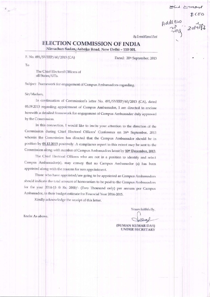Address 1000

By E-mail/Speed Post

# ELECTION COMMISSION OF INDIA

Nirvachan Sadan, Ashoka Road, New Delhi - 110 001.

F. No. 491/SVEEP/60/2013 (CA)

Dated: 20th September, 2013

To

The Chief Electoral Officers of all States/UTs.

Subject: Framework for engagement of Campus Ambassadors-regarding.

Sir/Madam,

In continuation of Commission's letter No. 491/SVEEP/60/2013 (CA), dated 05.09.2013 regarding appointment of Campus Ambassador, I am directed to enclose herewith a detailed framework for engagement of Campus Ambassador duly approved by the Commission.

In this connection, I would like to invite your attention to the direction of the Commission during Chief Electoral Officers' Conference on 16th September, 2013 wherein the Commission has directed that the Campus Ambassador should be in position by 01.12.2013 positively. A compliance report to this extent may be sent to the Commission along-with number of Campus Ambassadors latest by 10th December, 2013.

The Chief Electoral Officers who are not in a position to identify and select Campus Ambassador(s), may convey that no Campus Ambassador (s) has been appointed along-with the reasons for non appointment.

Those who have appointed/are going to be appointed as Campus Ambassadors should indicate the total amount of honorarium to be paid to the Campus Ambassadors for the year 2014-15 @ Rs. 2000/- (Two Thousand only) per annum per Campus Ambassador, in their budget estimate for Financial Year 2014-2015.

Kindly acknowledge the receipt of this letter.

Yours faithfully,

(SUMAN KUMAR DAS) **UNDER SECRETARY** 

Encls: As above.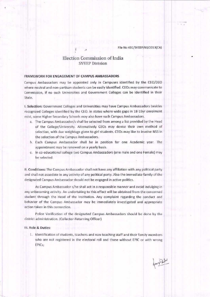File No 491/SVEEP/60/2013(CA)

## Election Commission of India **SVEEP Division**

#### FRAMEWORK FOR ENGAGEMENT OF CAMPUS AMBASSADORS

Campus Ambassadors may be appointed only in Campuses identified by the CEO/DEO where neutral and non-partisan students can be easily identified. CEOs may communicate to Commission, if no such Universities and Government Colleges can be identified in their State.

I. Selection: Government Colleges and Universities may have Campus Ambassadors besides recognized Colleges identified by the CEO. In states where wide gaps in 18-19yr enrolment exist, some Higher Secondary Schools may also have such Campus Ambassadors.

- a. The Campus Ambassador/s shall be selected from among a list provided by the Head of the College/University. Alternatively CEOs may devise their own method of selection, with due weightage given to girl students. CEOs may like to involve NSS in the selection of the Campus Ambassadors.
- b. Each Campus Ambassador shall be in position for one Academic year. The appointment may be renewed on a yearly basis.
- c. In co-educational college two Campus Ambassadors (one male and one Female) may be selected.

II. Conditions: The Campus Ambassador shall not have any affiliation with any political party and shall not associate in any activity of any political party. Also the immediate family of the designated Campus Ambassador should not be engaged in active politics.

As Campus Ambassador s/he shall act in a responsible manner and avoid indulging in any unbecoming activity. An undertaking to this effect will be obtained from the concerned student through the Head of the Institution. Any complaint regarding the conduct and behavior of the Campus Ambassador may be immediately investigated and appropriate action taken in this connection.

Police Verification of the designated Campus Ambassadors should be done by the district administration. (Collector-Returning Officer)

#### III. Role & Duties:

1. Identification of students, teachers and non-teaching staff and their family members who are not registered in the electoral roll and those without EPIC or with wrong EPICs;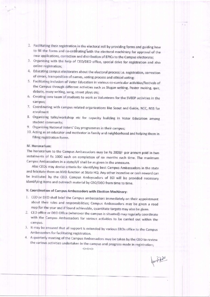- 2. Facilitating their registration in the electoral roll by providing forms and guiding how to fill the forms and co-ordinating with the electoral machinery for approval of the new applications, correction and distribution of EPICs to the Campus electorate;
- 3. Organising with the help of CEO/DEO office, special drive for registration and also online registration;
- 4. Educating campus electorates about the electoral process i.e. registration, correction of errors, transposition of names, voting process and ethical voting;
- 5. Facilitating inclusion of Voter Education in various co-curricular activities/festivals of the Campus through different activities such as Slogan writing, Poster making, quiz, debate, essay writing, song, street plays etc;
- 6. Creating core team of students to work as Volunteers for the SVEEP activities in the campus;
- 7. Coordinating with campus related organizations like Scout and Guide, NCC, NSS for enrolment
- 8. Organizing talks/workshop etc for capacity building in Voter Education among student community:
- 9. Organizing National Voters' Day programmes in their campus;
- 10. Acting as an educator and motivator in family and neighborhood and helping them in filling registration forms.

#### IV. Honorarium:

The honorarium to the Campus Ambassadors may be Rs 2000/- per annum paid in two instalments of Rs 1000 each on completion of six months each time. The maximum Campus Ambassadors in a state/UT shall be as given in the annexure.

Also CEOs may devise criteria for identifying best Campus Ambassadors in the state and felicitate them on NVD function at State HQ. Any other incentive or cash reward can be instituted by the CEO. Campus Ambassadors of ECI will be provided necessary identifying items and outreach material by CEO/DEO from time to time.

## V. Coordination of Campus Ambassadors with Election Machinery:

- 1. CEO or DEO shall brief the Campus ambassadors immediately on their appointment about their roles and responsibilities; Campus Ambassadors may be given a road map for the year and if found achievable, quantitate targets may also be given.
- 2. CEO office or DEO Office (wherever the campus is situated) may regularly coordinate with the Campus Ambassadors for various activities to be carried out within the campus.
- 3. It may be ensured that all support is extended by various EROs office to the Campus Ambassadors for facilitating registration.
- 4. A quarterly meeting of the Campus Ambassadors may be taken by the CEO to review the various activities undertaken in the campus and progress made in registration;

forte

くンくンくン